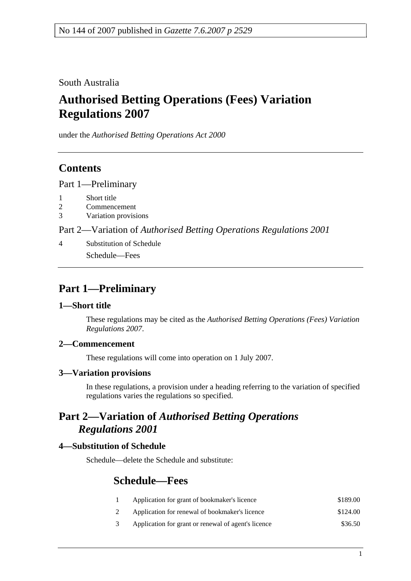South Australia

# **Authorised Betting Operations (Fees) Variation Regulations 2007**

under the *Authorised Betting Operations Act 2000*

### **Contents**

Part 1—Preliminary

- 1 Short title
- 2 Commencement
- 3 Variation provisions

Part 2—Variation of *Authorised Betting Operations Regulations 2001*

4 Substitution of Schedule Schedule—Fees

## **Part 1—Preliminary**

### **1—Short title**

These regulations may be cited as the *Authorised Betting Operations (Fees) Variation Regulations 2007*.

### **2—Commencement**

These regulations will come into operation on 1 July 2007.

### **3—Variation provisions**

In these regulations, a provision under a heading referring to the variation of specified regulations varies the regulations so specified.

### **Part 2—Variation of** *Authorised Betting Operations Regulations 2001*

### **4—Substitution of Schedule**

Schedule—delete the Schedule and substitute:

### **Schedule—Fees**

- 1 Application for grant of bookmaker's licence \$189.00
- 2 Application for renewal of bookmaker's licence \$124.00
- 3 Application for grant or renewal of agent's licence \$36.50